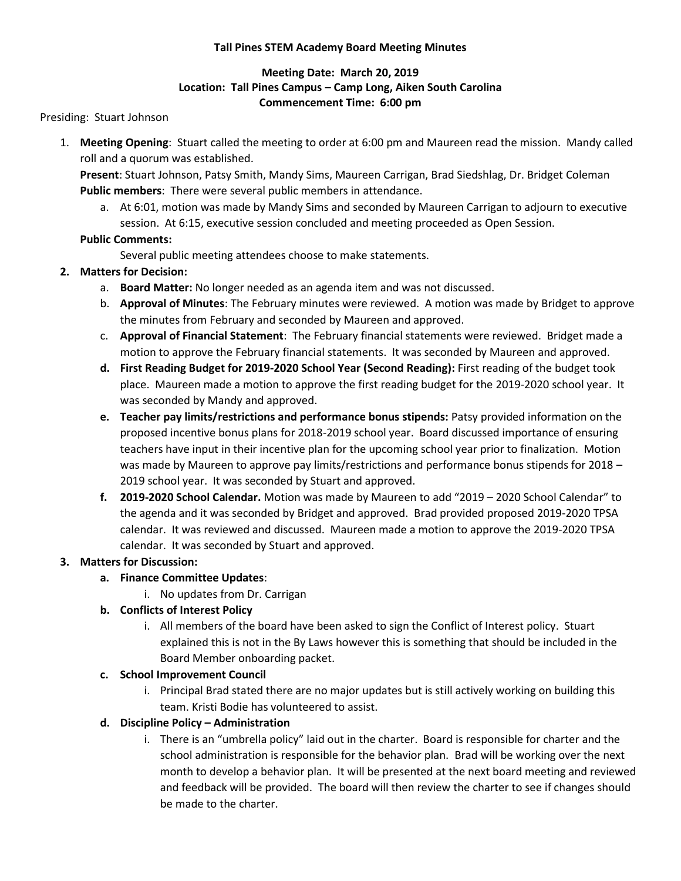#### **Tall Pines STEM Academy Board Meeting Minutes**

### **Meeting Date: March 20, 2019 Location: Tall Pines Campus – Camp Long, Aiken South Carolina Commencement Time: 6:00 pm**

Presiding: Stuart Johnson

1. **Meeting Opening**: Stuart called the meeting to order at 6:00 pm and Maureen read the mission. Mandy called roll and a quorum was established.

**Present**: Stuart Johnson, Patsy Smith, Mandy Sims, Maureen Carrigan, Brad Siedshlag, Dr. Bridget Coleman **Public members**: There were several public members in attendance.

a. At 6:01, motion was made by Mandy Sims and seconded by Maureen Carrigan to adjourn to executive session. At 6:15, executive session concluded and meeting proceeded as Open Session.

### **Public Comments:**

Several public meeting attendees choose to make statements.

# **2. Matters for Decision:**

- a. **Board Matter:** No longer needed as an agenda item and was not discussed.
- b. **Approval of Minutes**: The February minutes were reviewed. A motion was made by Bridget to approve the minutes from February and seconded by Maureen and approved.
- c. **Approval of Financial Statement**: The February financial statements were reviewed. Bridget made a motion to approve the February financial statements. It was seconded by Maureen and approved.
- **d. First Reading Budget for 2019-2020 School Year (Second Reading):** First reading of the budget took place. Maureen made a motion to approve the first reading budget for the 2019-2020 school year. It was seconded by Mandy and approved.
- **e. Teacher pay limits/restrictions and performance bonus stipends:** Patsy provided information on the proposed incentive bonus plans for 2018-2019 school year. Board discussed importance of ensuring teachers have input in their incentive plan for the upcoming school year prior to finalization. Motion was made by Maureen to approve pay limits/restrictions and performance bonus stipends for 2018 -2019 school year. It was seconded by Stuart and approved.
- **f. 2019-2020 School Calendar.** Motion was made by Maureen to add "2019 2020 School Calendar" to the agenda and it was seconded by Bridget and approved. Brad provided proposed 2019-2020 TPSA calendar. It was reviewed and discussed. Maureen made a motion to approve the 2019-2020 TPSA calendar. It was seconded by Stuart and approved.

#### **3. Matters for Discussion:**

#### **a. Finance Committee Updates**:

i. No updates from Dr. Carrigan

# **b. Conflicts of Interest Policy**

i. All members of the board have been asked to sign the Conflict of Interest policy. Stuart explained this is not in the By Laws however this is something that should be included in the Board Member onboarding packet.

#### **c. School Improvement Council**

i. Principal Brad stated there are no major updates but is still actively working on building this team. Kristi Bodie has volunteered to assist.

# **d. Discipline Policy – Administration**

i. There is an "umbrella policy" laid out in the charter. Board is responsible for charter and the school administration is responsible for the behavior plan. Brad will be working over the next month to develop a behavior plan. It will be presented at the next board meeting and reviewed and feedback will be provided. The board will then review the charter to see if changes should be made to the charter.